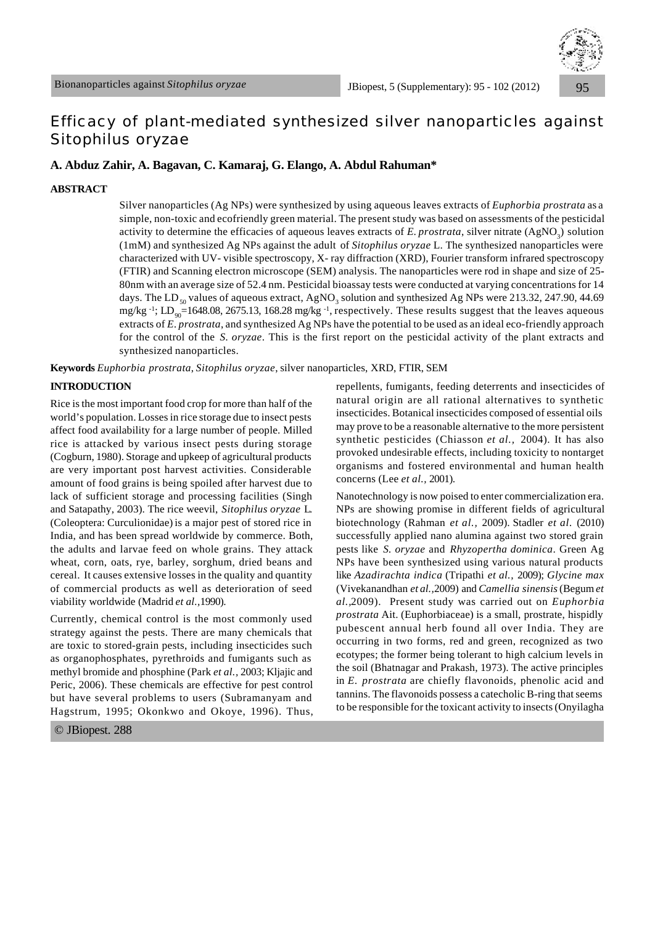

# Efficacy of plant-mediated synthesized silver nanoparticles against *Sitophilus oryzae*

# **A. Abduz Zahir, A. Bagavan, C. Kamaraj, G. Elango, A. Abdul Rahuman\***

# **ABSTRACT**

Silver nanoparticles (Ag NPs) were synthesized by using aqueous leaves extracts of *Euphorbia prostrata* as a simple, non-toxic and ecofriendly green material. The present study was based on assessments of the pesticidal activity to determine the efficacies of aqueous leaves extracts of *E. prostrata*, silver nitrate (AgNO<sub>3</sub>) solution (1mM) and synthesized Ag NPs against the adult of *Sitophilus oryzae* L. The synthesized nanoparticles were characterized with UV- visible spectroscopy, X- ray diffraction (XRD), Fourier transform infrared spectroscopy (FTIR) and Scanning electron microscope (SEM) analysis. The nanoparticles were rod in shape and size of 25**-** 80nm with an average size of 52.4 nm. Pesticidal bioassay tests were conducted at varying concentrations for 14 days. The  $LD_{50}$  values of aqueous extract, AgNO<sub>3</sub> solution and synthesized Ag NPs were 213.32, 247.90, 44.69 mg/kg<sup>-1</sup>; LD<sub>90</sub>=1648.08, 2675.13, 168.28 mg/kg<sup>-1</sup>, respectively. These results suggest that the leaves aqueous extracts of *E. prostrata*, and synthesized Ag NPs have the potential to be used as an ideal eco-friendly approach for the control of the *S. oryzae*. This is the first report on the pesticidal activity of the plant extracts and synthesized nanoparticles.

**Keywords** *Euphorbia prostrata*, *Sitophilus oryzae*, silver nanoparticles, XRD, FTIR, SEM

# **INTRODUCTION**

Rice is the most important food crop for more than half of the world's population. Losses in rice storage due to insect pests affect food availability for a large number of people. Milled rice is attacked by various insect pests during storage (Cogburn, 1980). Storage and upkeep of agricultural products are very important post harvest activities. Considerable amount of food grains is being spoiled after harvest due to lack of sufficient storage and processing facilities (Singh and Satapathy, 2003). The rice weevil, *Sitophilus oryzae* L. (Coleoptera: Curculionidae)is a major pest of stored rice in India, and has been spread worldwide by commerce. Both, the adults and larvae feed on whole grains. They attack wheat, corn, oats, rye, barley, sorghum, dried beans and cereal. It causes extensive losses in the quality and quantity of commercial products as well as deterioration of seed viability worldwide (Madrid *et al.,*1990).

Currently, chemical control is the most commonly used strategy against the pests. There are many chemicals that are toxic to stored-grain pests, including insecticides such as organophosphates, pyrethroids and fumigants such as methyl bromide and phosphine (Park *et al.,* 2003; Kljajic and Peric, 2006). These chemicals are effective for pest control but have several problems to users (Subramanyam and Hagstrum, 1995; Okonkwo and Okoye, 1996). Thus,

© JBiopest. 288

repellents, fumigants, feeding deterrents and insecticides of natural origin are all rational alternatives to synthetic insecticides. Botanical insecticides composed of essential oils may prove to be a reasonable alternative to the more persistent synthetic pesticides (Chiasson *et al.,* 2004). It has also provoked undesirable effects, including toxicity to nontarget organisms and fostered environmental and human health concerns (Lee *et al.,* 2001).

Nanotechnology is now poised to enter commercialization era. NPs are showing promise in different fields of agricultural biotechnology (Rahman *et al.,* 2009). Stadler *et al.* (2010) successfully applied nano alumina against two stored grain pests like *S. oryzae* and *Rhyzopertha dominica*. Green Ag NPs have been synthesized using various natural products like *Azadirachta indica* (Tripathi *et al.,* 2009); *Glycine max* (Vivekanandhan *et al.,*2009) and *Camellia sinensis* (Begum *et al.,*2009). Present study was carried out on *Euphorbia prostrata* Ait. (Euphorbiaceae) is a small, prostrate, hispidly pubescent annual herb found all over India. They are occurring in two forms, red and green, recognized as two ecotypes; the former being tolerant to high calcium levels in the soil (Bhatnagar and Prakash, 1973). The active principles in *E. prostrata* are chiefly flavonoids, phenolic acid and tannins. The flavonoids possess a catecholic B-ring that seems to be responsible for the toxicant activity to insects (Onyilagha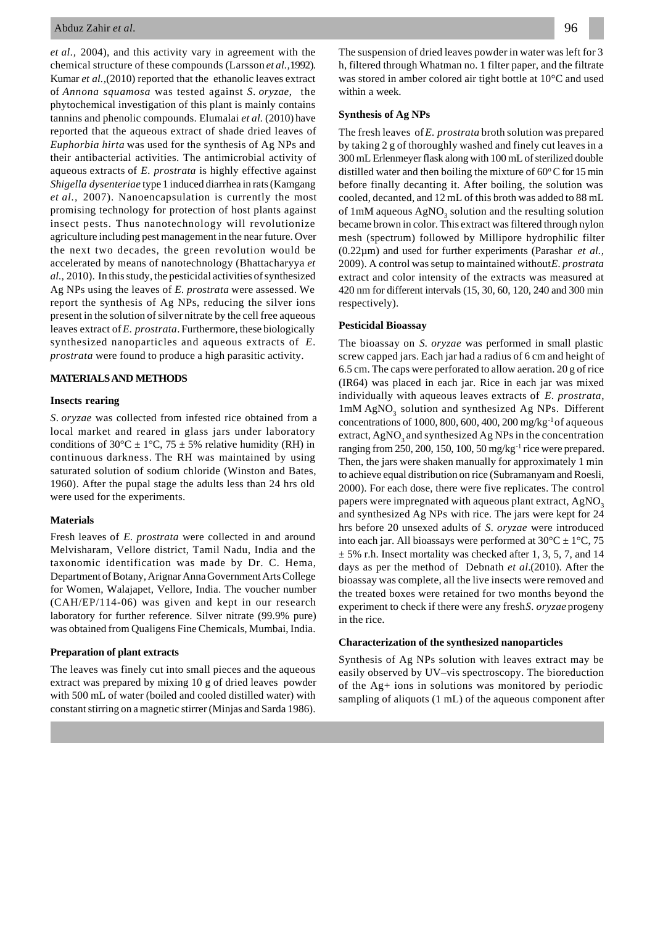*et al.,* 2004), and this activity vary in agreement with the chemical structure of these compounds (Larsson *et al.,*1992). Kumar *et al.,*(2010) reported that the ethanolic leaves extract of *Annona squamosa* was tested against *S*. *oryzae*,the phytochemical investigation of this plant is mainly contains tannins and phenolic compounds. Elumalai *et al.* (2010) have reported that the aqueous extract of shade dried leaves of *Euphorbia hirta* was used for the synthesis of Ag NPs and their antibacterial activities. The antimicrobial activity of aqueous extracts of *E. prostrata* is highly effective against *Shigella dysenteriae* type 1 induced diarrhea in rats (Kamgang *et al.,* 2007). Nanoencapsulation is currently the most promising technology for protection of host plants against insect pests. Thus nanotechnology will revolutionize agriculture including pest management in the near future. Over the next two decades, the green revolution would be accelerated by means of nanotechnology (Bhattacharyya *et al.,* 2010). In this study, the pesticidal activities of synthesized Ag NPs using the leaves of *E. prostrata* were assessed. We report the synthesis of Ag NPs, reducing the silver ions present in the solution of silver nitrate by the cell free aqueous leaves extract of *E. prostrata*. Furthermore, these biologically synthesized nanoparticles and aqueous extracts of *E. prostrata* were found to produce a high parasitic activity.

#### **MATERIALS AND METHODS**

### **Insects rearing**

*S*. *oryzae* was collected from infested rice obtained from a local market and reared in glass jars under laboratory conditions of 30°C  $\pm$  1°C, 75  $\pm$  5% relative humidity (RH) in continuous darkness. The RH was maintained by using saturated solution of sodium chloride (Winston and Bates, 1960). After the pupal stage the adults less than 24 hrs old were used for the experiments.

#### **Materials**

Fresh leaves of *E. prostrata* were collected in and around Melvisharam, Vellore district, Tamil Nadu, India and the taxonomic identification was made by Dr. C. Hema, Department of Botany, Arignar Anna Government Arts College for Women, Walajapet, Vellore, India. The voucher number (CAH/EP/114-06) was given and kept in our research laboratory for further reference. Silver nitrate (99.9% pure) was obtained from Qualigens Fine Chemicals, Mumbai, India.

# **Preparation of plant extracts**

The leaves was finely cut into small pieces and the aqueous extract was prepared by mixing 10 g of dried leaves powder with 500 mL of water (boiled and cooled distilled water) with constant stirring on a magnetic stirrer (Minjas and Sarda 1986). The suspension of dried leaves powder in water was left for 3 h, filtered through Whatman no. 1 filter paper, and the filtrate was stored in amber colored air tight bottle at 10°C and used within a week.

#### **Synthesis of Ag NPs**

The fresh leaves of *E. prostrata* broth solution was prepared by taking 2 g of thoroughly washed and finely cut leaves in a 300 mL Erlenmeyer flask along with 100 mL of sterilized double distilled water and then boiling the mixture of  $60^{\circ}$ C for 15 min before finally decanting it. After boiling, the solution was cooled, decanted, and 12 mL of this broth was added to 88 mL of  $1 \text{mM}$  aqueous  $\text{AgNO}_3$  solution and the resulting solution became brown in color. This extract was filtered through nylon mesh (spectrum) followed by Millipore hydrophilic filter (0.22µm) and used for further experiments (Parashar *et al.,* 2009). A control was setup to maintained without *E. prostrata* extract and color intensity of the extracts was measured at 420 nm for different intervals (15, 30, 60, 120, 240 and 300 min respectively).

#### **Pesticidal Bioassay**

The bioassay on *S. oryzae* was performed in small plastic screw capped jars. Each jar had a radius of 6 cm and height of 6.5 cm. The caps were perforated to allow aeration. 20 g of rice (IR64) was placed in each jar. Rice in each jar was mixed individually with aqueous leaves extracts of *E*. *prostrata*, lmM AgNO<sub>3</sub> solution and synthesized Ag NPs. Different concentrations of 1000, 800, 600, 400, 200 mg/kg $^{-1}$  of aqueous extract,  $AgNO<sub>3</sub>$  and synthesized Ag NPs in the concentration ranging from 250, 200, 150, 100, 50 mg/kg<sup>-1</sup> rice were prepared. Then, the jars were shaken manually for approximately 1 min to achieve equal distribution on rice (Subramanyam and Roesli, 2000). For each dose, there were five replicates. The control papers were impregnated with aqueous plant extract,  $AgNO<sub>3</sub>$ and synthesized Ag NPs with rice. The jars were kept for 24 hrs before 20 unsexed adults of *S. oryzae* were introduced into each jar. All bioassays were performed at  $30^{\circ}C \pm 1^{\circ}C$ , 75  $\pm$  5% r.h. Insect mortality was checked after 1, 3, 5, 7, and 14 days as per the method of Debnath *et al.*(2010). After the bioassay was complete, all the live insects were removed and the treated boxes were retained for two months beyond the experiment to check if there were any fresh *S. oryzae* progeny in the rice.

#### **Characterization of the synthesized nanoparticles**

Synthesis of Ag NPs solution with leaves extract may be easily observed by UV–vis spectroscopy. The bioreduction of the Ag+ ions in solutions was monitored by periodic sampling of aliquots (1 mL) of the aqueous component after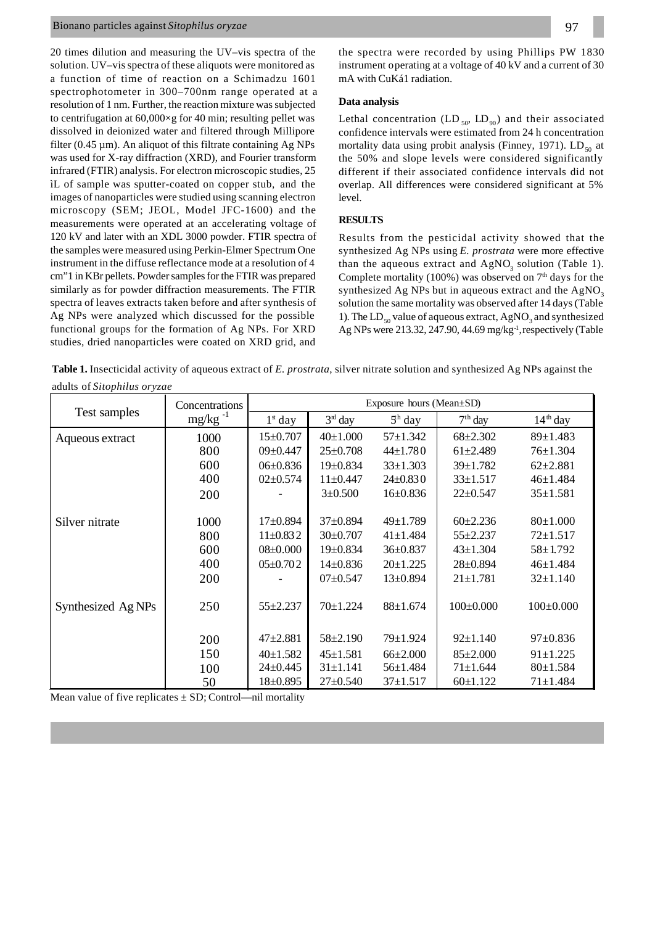# Bionano particles against *Sitophilus oryzae*

20 times dilution and measuring the UV–vis spectra of the solution. UV–vis spectra of these aliquots were monitored as a function of time of reaction on a Schimadzu 1601 spectrophotometer in 300–700nm range operated at a resolution of 1 nm. Further, the reaction mixture was subjected to centrifugation at  $60,000 \times g$  for 40 min; resulting pellet was dissolved in deionized water and filtered through Millipore filter  $(0.45 \mu m)$ . An aliquot of this filtrate containing Ag NPs was used for X-ray diffraction (XRD), and Fourier transform infrared (FTIR) analysis. For electron microscopic studies, 25 ìL of sample was sputter-coated on copper stub, and the images of nanoparticles were studied using scanning electron microscopy (SEM; JEOL, Model JFC-1600) and the measurements were operated at an accelerating voltage of 120 kV and later with an XDL 3000 powder. FTIR spectra of the samples were measured using Perkin-Elmer Spectrum One instrument in the diffuse reflectance mode at a resolution of 4 cm"1 in KBr pellets. Powder samples for the FTIR was prepared similarly as for powder diffraction measurements. The FTIR spectra of leaves extracts taken before and after synthesis of Ag NPs were analyzed which discussed for the possible functional groups for the formation of Ag NPs. For XRD studies, dried nanoparticles were coated on XRD grid, and

the spectra were recorded by using Phillips PW 1830 instrument operating at a voltage of 40 kV and a current of 30 mA with CuKá1 radiation.

# **Data analysis**

Lethal concentration (LD  $_{50}$ , LD<sub>90</sub>) and their associated confidence intervals were estimated from 24 h concentration mortality data using probit analysis (Finney, 1971).  $LD_{50}$  at the 50% and slope levels were considered significantly different if their associated confidence intervals did not overlap. All differences were considered significant at 5% level.

# **RESULTS**

Results from the pesticidal activity showed that the synthesized Ag NPs using *E. prostrata* were more effective than the aqueous extract and  $AgNO<sub>3</sub>$  solution (Table 1). Complete mortality (100%) was observed on  $7<sup>th</sup>$  days for the synthesized Ag NPs but in aqueous extract and the  $AgNO<sub>3</sub>$ solution the same mortality was observed after 14 days (Table 1). The  $LD_{50}$  value of aqueous extract,  $AgNO_3$  and synthesized Ag NPs were 213.32, 247.90, 44.69 mg/kg<sup>-1</sup>, respectively (Table

**Table 1.** Insecticidal activity of aqueous extract of *E. prostrata*, silver nitrate solution and synthesized Ag NPs against the adults of *Sitophilus oryzae*

|                               | Concentrations | Exposure hours (Mean±SD) |                |                |                 |                      |  |
|-------------------------------|----------------|--------------------------|----------------|----------------|-----------------|----------------------|--|
| Test samples                  | $mg/kg^{-1}$   | $1\epsilon$ day          | $3rd$ day      | $5h$ day       | $7th$ day       | 14 <sup>th</sup> day |  |
| Aqueous extract               | 1000           | $15 \pm 0.707$           | $40\pm1.000$   | $57 \pm 1.342$ | $68 \pm 2.302$  | $89 \pm 1.483$       |  |
|                               | 800            | $09 \pm 0.447$           | $25 \pm 0.708$ | $44 \pm 1.780$ | $61 \pm 2.489$  | $76 \pm 1.304$       |  |
|                               | 600            | $06 \pm 0.836$           | $19+0.834$     | $33 \pm 1.303$ | $39 \pm 1.782$  | $62 \pm 2.881$       |  |
|                               | 400            | $02 \pm 0.574$           | $11 \pm 0.447$ | $24 \pm 0.830$ | $33 \pm 1.517$  | $46 \pm 1.484$       |  |
|                               | 200            |                          | $3 \pm 0.500$  | $16+0.836$     | $22 \pm 0.547$  | $35 \pm 1.581$       |  |
|                               |                |                          |                |                |                 |                      |  |
| Silver nitrate                | 1000           | $17+0.894$               | $37 \pm 0.894$ | $49 \pm 1.789$ | $60 \pm 2.236$  | 80±1.000             |  |
|                               | 800            | $11\pm0.832$             | $30\pm0.707$   | $41 \pm 1.484$ | $55 + 2.237$    | $72 \pm 1.517$       |  |
|                               | 600            | $08 \pm 0.000$           | $19 \pm 0.834$ | $36 \pm 0.837$ | $43 \pm 1.304$  | $58 \pm 1.792$       |  |
|                               | 400            | $05 \pm 0.702$           | $14\pm0.836$   | $20 \pm 1.225$ | $28 \pm 0.894$  | $46 \pm 1.484$       |  |
|                               | 200            |                          | $07 \pm 0.547$ | $13 \pm 0.894$ | $21 \pm 1.781$  | $32 \pm 1.140$       |  |
|                               |                |                          |                |                |                 |                      |  |
| Synthesized Ag <sub>NPs</sub> | 250            | $55 + 2.237$             | $70 + 1.224$   | $88 \pm 1.674$ | $100 \pm 0.000$ | $100 \pm 0.000$      |  |
|                               |                |                          |                |                |                 |                      |  |
|                               | 200            | $47 + 2.881$             | $58 \pm 2.190$ | 79±1.924       | $92 \pm 1.140$  | $97 \pm 0.836$       |  |
|                               | 150            | $40 \pm 1.582$           | $45 \pm 1.581$ | $66{\pm}2.000$ | $85 \pm 2.000$  | $91 \pm 1.225$       |  |
|                               | 100            | 24±0.445                 | $31 \pm 1.141$ | $56 \pm 1.484$ | $71 \pm 1.644$  | $80 \pm 1.584$       |  |
|                               | 50             | $18 \pm 0.895$           | $27 \pm 0.540$ | $37 \pm 1.517$ | $60\pm1.122$    | $71 \pm 1.484$       |  |

Mean value of five replicates  $\pm$  SD; Control—nil mortality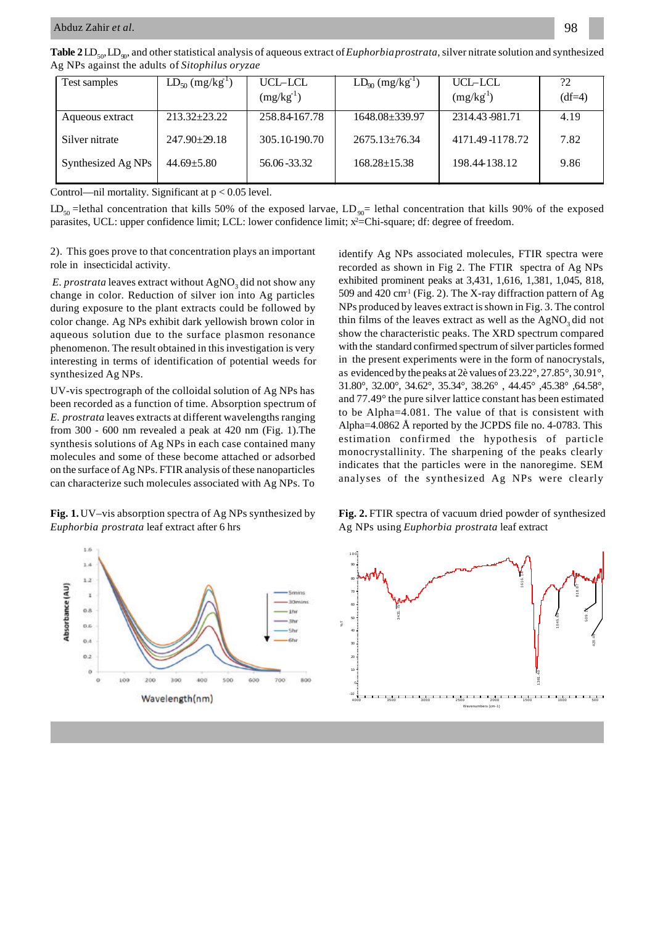| Test samples       | $LD_{50} (mg/kg^{1})$ | UCL-LCL<br>$(mg/kg^{-1})$ | $LD_{90} (mg/kg^{-1})$ | UCL-LCL<br>$(mg/kg-1)$ | ?2<br>$(df=4)$ |
|--------------------|-----------------------|---------------------------|------------------------|------------------------|----------------|
| Aqueous extract    | $213.32 + 23.22$      | 258.84167.78              | 1648.08 + 339.97       | 2314.43-981.71         | 4.19           |
| Silver nitrate     | $247.90 \pm 29.18$    | 305.10-190.70             | $2675.13 \pm 76.34$    | 4171.49 - 1178.72      | 7.82           |
| Synthesized Ag NPs | $44.69 \pm 5.80$      | 56.06 - 33.32             | $168.28 \pm 15.38$     | 198.44-138.12          | 9.86           |

Control—nil mortality. Significant at  $p < 0.05$  level.

 $LD_{50}$ =lethal concentration that kills 50% of the exposed larvae,  $LD_{90}$ = lethal concentration that kills 90% of the exposed parasites, UCL: upper confidence limit; LCL: lower confidence limit; x<sup>2</sup>=Chi-square; df: degree of freedom.

2). This goes prove to that concentration plays an important role in insecticidal activity.

E. prostrata leaves extract without AgNO<sub>3</sub> did not show any change in color. Reduction of silver ion into Ag particles during exposure to the plant extracts could be followed by color change. Ag NPs exhibit dark yellowish brown color in aqueous solution due to the surface plasmon resonance phenomenon. The result obtained in this investigation is very interesting in terms of identification of potential weeds for synthesized Ag NPs.

UV-vis spectrograph of the colloidal solution of Ag NPs has been recorded as a function of time. Absorption spectrum of *E. prostrata* leaves extracts at different wavelengths ranging from 300 - 600 nm revealed a peak at 420 nm (Fig. 1).The synthesis solutions of Ag NPs in each case contained many molecules and some of these become attached or adsorbed on the surface of Ag NPs. FTIR analysis of these nanoparticles can characterize such molecules associated with Ag NPs. To

**Fig. 1.** UV–vis absorption spectra of Ag NPs synthesized by *Euphorbia prostrata* leaf extract after 6 hrs



identify Ag NPs associated molecules, FTIR spectra were recorded as shown in Fig 2. The FTIR spectra of Ag NPs exhibited prominent peaks at 3,431, 1,616, 1,381, 1,045, 818, 509 and 420 cm<sup>1</sup> (Fig. 2). The X-ray diffraction pattern of Ag NPs produced by leaves extract is shown in Fig. 3. The control thin films of the leaves extract as well as the AgNO<sub>2</sub> did not show the characteristic peaks. The XRD spectrum compared with the standard confirmed spectrum of silver particles formed in the present experiments were in the form of nanocrystals, as evidenced by the peaks at 2è values of 23.22°, 27.85°, 30.91°, 31.80°, 32.00°, 34.62°, 35.34°, 38.26° , 44.45° ,45.38° ,64.58°, and 77.49° the pure silver lattice constant has been estimated to be Alpha=4.081. The value of that is consistent with Alpha=4.0862 Å reported by the JCPDS file no. 4-0783. This estimation confirmed the hypothesis of particle monocrystallinity. The sharpening of the peaks clearly indicates that the particles were in the nanoregime. SEM analyses of the synthesized Ag NPs were clearly

**Fig. 2.** FTIR spectra of vacuum dried powder of synthesized Ag NPs using *Euphorbia prostrata* leaf extract

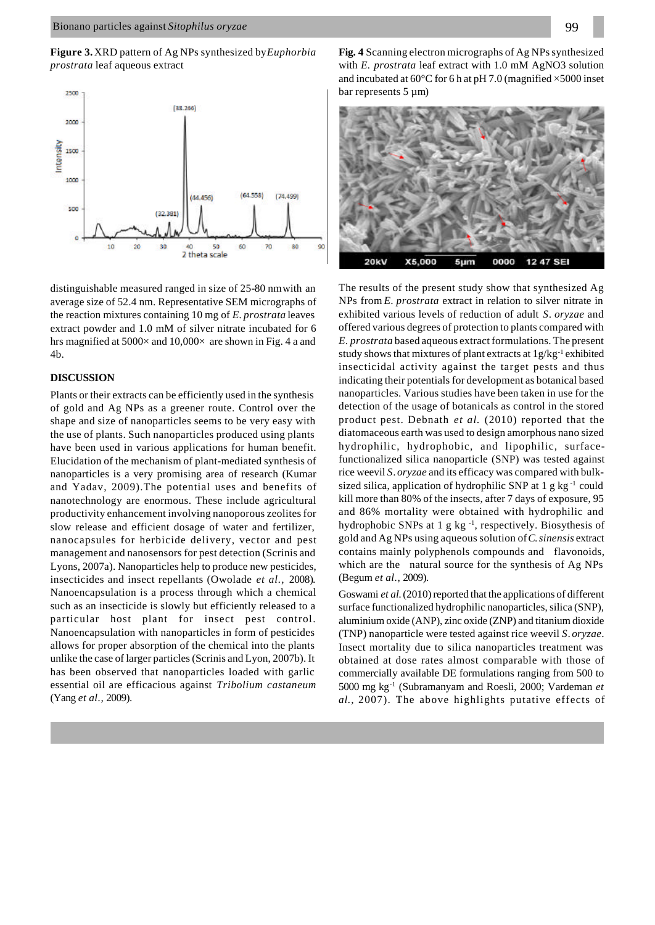**Figure 3.** XRD pattern of Ag NPs synthesized by *Euphorbia prostrata* leaf aqueous extract



distinguishable measured ranged in size of 25**-**80 nmwith an average size of 52.4 nm. Representative SEM micrographs of the reaction mixtures containing 10 mg of *E. prostrata* leaves extract powder and 1.0 mM of silver nitrate incubated for 6 hrs magnified at  $5000 \times$  and  $10,000 \times$  are shown in Fig. 4 a and 4b.

# **DISCUSSION**

Plants or their extracts can be efficiently used in the synthesis of gold and Ag NPs as a greener route. Control over the shape and size of nanoparticles seems to be very easy with the use of plants. Such nanoparticles produced using plants have been used in various applications for human benefit. Elucidation of the mechanism of plant-mediated synthesis of nanoparticles is a very promising area of research (Kumar and Yadav, 2009).The potential uses and benefits of nanotechnology are enormous. These include agricultural productivity enhancement involving nanoporous zeolites for slow release and efficient dosage of water and fertilizer, nanocapsules for herbicide delivery, vector and pest management and nanosensors for pest detection (Scrinis and Lyons, 2007a). Nanoparticles help to produce new pesticides, insecticides and insect repellants (Owolade *et al.,* 2008)*.* Nanoencapsulation is a process through which a chemical such as an insecticide is slowly but efficiently released to a particular host plant for insect pest control. Nanoencapsulation with nanoparticles in form of pesticides allows for proper absorption of the chemical into the plants unlike the case of larger particles (Scrinis and Lyon, 2007b). It has been observed that nanoparticles loaded with garlic essential oil are efficacious against *Tribolium castaneum* (Yang *et al.,* 2009).



The results of the present study show that synthesized Ag NPs from *E*. *prostrata* extract in relation to silver nitrate in exhibited various levels of reduction of adult *S*. *oryzae* and offered various degrees of protection to plants compared with *E*. *prostrata* based aqueous extract formulations. The present study shows that mixtures of plant extracts at 1g/kg<sup>-1</sup> exhibited insecticidal activity against the target pests and thus indicating their potentials for development as botanical based nanoparticles. Various studies have been taken in use for the detection of the usage of botanicals as control in the stored product pest. Debnath *et al.* (2010) reported that the diatomaceous earth was used to design amorphous nano sized hydrophilic, hydrophobic, and lipophilic, surfacefunctionalized silica nanoparticle (SNP) was tested against rice weevil *S*. *oryzae* and its efficacy was compared with bulksized silica, application of hydrophilic SNP at 1 g kg<sup>-1</sup> could kill more than 80% of the insects, after 7 days of exposure, 95 and 86% mortality were obtained with hydrophilic and hydrophobic SNPs at 1 g kg $^{-1}$ , respectively. Biosythesis of gold and Ag NPs using aqueous solution of *C*. *sinensis* extract contains mainly polyphenols compounds and flavonoids, which are the natural source for the synthesis of Ag NPs (Begum *et al.,* 2009).

Goswami et al. (2010) reported that the applications of different surface functionalized hydrophilic nanoparticles, silica (SNP), aluminium oxide (ANP), zinc oxide (ZNP) and titanium dioxide (TNP) nanoparticle were tested against rice weevil *S*. *oryzae*. Insect mortality due to silica nanoparticles treatment was obtained at dose rates almost comparable with those of commercially available DE formulations ranging from 500 to 5000 mg kg-1 (Subramanyam and Roesli, 2000; Vardeman *et al.,* 2007). The above highlights putative effects of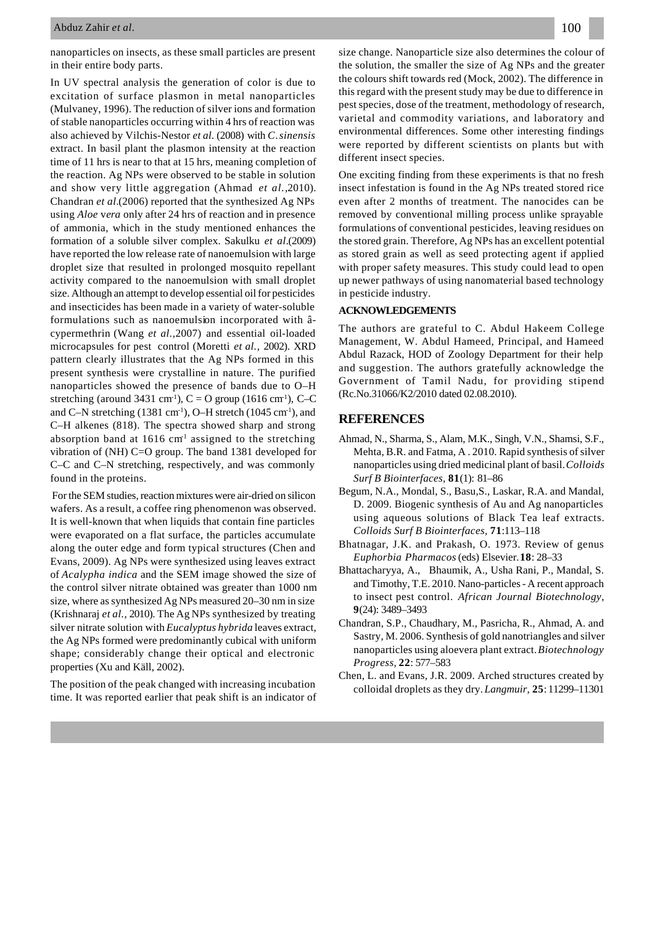### Abduz Zahir *et al.*

nanoparticles on insects, as these small particles are present in their entire body parts.

In UV spectral analysis the generation of color is due to excitation of surface plasmon in metal nanoparticles (Mulvaney, 1996). The reduction of silver ions and formation of stable nanoparticles occurring within 4 hrs of reaction was also achieved by Vilchis-Nestor *et al.* (2008) with *C*. *sinensis* extract. In basil plant the plasmon intensity at the reaction time of 11 hrs is near to that at 15 hrs, meaning completion of the reaction. Ag NPs were observed to be stable in solution and show very little aggregation (Ahmad *et al.,*2010). Chandran *et al.*(2006) reported that the synthesized Ag NPs using *Aloe* v*era* only after 24 hrs of reaction and in presence of ammonia, which in the study mentioned enhances the formation of a soluble silver complex. Sakulku *et al.*(2009) have reported the low release rate of nanoemulsion with large droplet size that resulted in prolonged mosquito repellant activity compared to the nanoemulsion with small droplet size. Although an attempt to develop essential oil for pesticides and insecticides has been made in a variety of water-soluble formulations such as nanoemulsion incorporated with âcypermethrin (Wang *et al.,*2007) and essential oil-loaded microcapsules for pest control (Moretti *et al.,* 2002). XRD pattern clearly illustrates that the Ag NPs formed in this present synthesis were crystalline in nature. The purified nanoparticles showed the presence of bands due to O–H stretching (around 3431 cm<sup>-1</sup>),  $C = O$  group (1616 cm<sup>-1</sup>), C–C and C–N stretching (1381 cm<sup>-1</sup>), O–H stretch (1045 cm<sup>-1</sup>), and C–H alkenes (818). The spectra showed sharp and strong absorption band at  $1616 \text{ cm}^1$  assigned to the stretching vibration of (NH) C=O group. The band 1381 developed for C–C and C–N stretching, respectively, and was commonly found in the proteins.

 For the SEM studies, reaction mixtures were air-dried on silicon wafers. As a result, a coffee ring phenomenon was observed. It is well-known that when liquids that contain fine particles were evaporated on a flat surface, the particles accumulate along the outer edge and form typical structures (Chen and Evans, 2009). Ag NPs were synthesized using leaves extract of *Acalypha indica* and the SEM image showed the size of the control silver nitrate obtained was greater than 1000 nm size, where as synthesized Ag NPs measured 20–30 nm in size (Krishnaraj *et al.,* 2010). The Ag NPs synthesized by treating silver nitrate solution with *Eucalyptus hybrida* leaves extract, the Ag NPs formed were predominantly cubical with uniform shape; considerably change their optical and electronic properties (Xu and Käll, 2002).

The position of the peak changed with increasing incubation time. It was reported earlier that peak shift is an indicator of size change. Nanoparticle size also determines the colour of the solution, the smaller the size of Ag NPs and the greater the colours shift towards red (Mock, 2002). The difference in this regard with the present study may be due to difference in pest species, dose of the treatment, methodology of research, varietal and commodity variations, and laboratory and environmental differences. Some other interesting findings were reported by different scientists on plants but with different insect species.

One exciting finding from these experiments is that no fresh insect infestation is found in the Ag NPs treated stored rice even after 2 months of treatment. The nanocides can be removed by conventional milling process unlike sprayable formulations of conventional pesticides, leaving residues on the stored grain. Therefore, Ag NPs has an excellent potential as stored grain as well as seed protecting agent if applied with proper safety measures. This study could lead to open up newer pathways of using nanomaterial based technology in pesticide industry.

# **ACKNOWLEDGEMENTS**

The authors are grateful to C. Abdul Hakeem College Management, W. Abdul Hameed, Principal, and Hameed Abdul Razack, HOD of Zoology Department for their help and suggestion. The authors gratefully acknowledge the Government of Tamil Nadu, for providing stipend (Rc.No.31066/K2/2010 dated 02.08.2010).

# **REFERENCES**

- Ahmad, N., Sharma, S., Alam, M.K., Singh, V.N., Shamsi, S.F., Mehta, B.R. and Fatma, A . 2010. Rapid synthesis of silver nanoparticles using dried medicinal plant of basil. *Colloids Surf B Biointerfaces,* **81**(1): 81–86
- Begum, N.A., Mondal, S., Basu,S., Laskar, R.A. and Mandal, D. 2009. Biogenic synthesis of Au and Ag nanoparticles using aqueous solutions of Black Tea leaf extracts. *Colloids Surf B Biointerfaces,* **71**:113–118
- Bhatnagar, J.K. and Prakash, O. 1973. Review of genus *Euphorbia Pharmacos* (eds) Elsevier.**18**: 28–33
- Bhattacharyya, A., Bhaumik, A., Usha Rani, P., Mandal, S. and Timothy, T.E. 2010. Nano-particles - A recent approach to insect pest control. *African Journal Biotechnology*, **9**(24): 3489–3493
- Chandran, S.P., Chaudhary, M., Pasricha, R., Ahmad, A. and Sastry, M. 2006. Synthesis of gold nanotriangles and silver nanoparticles using aloevera plant extract. *Biotechnology Progress*, **22**: 577–583
- Chen, L. and Evans, J.R. 2009. Arched structures created by colloidal droplets as they dry. *Langmuir,* **25**: 11299–11301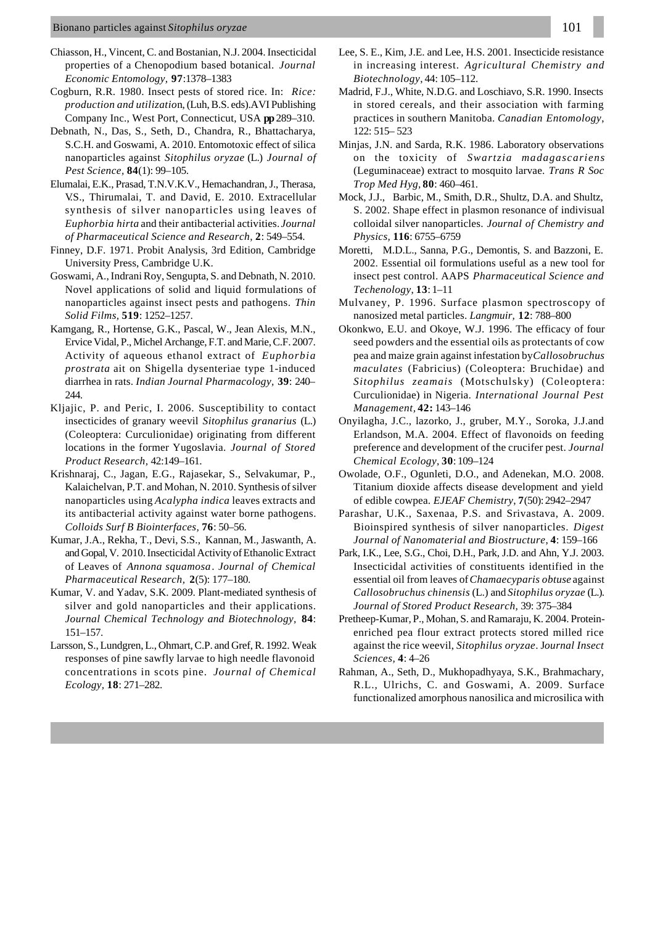- Chiasson, H., Vincent, C. and Bostanian, N.J. 2004. Insecticidal properties of a Chenopodium based botanical. *Journal Economic Entomology,* **97**:1378–1383
- Cogburn, R.R. 1980. Insect pests of stored rice. In: *Rice: production and utilizatio*n, (Luh, B.S. eds).AVI Publishing Company Inc., West Port, Connecticut, USA **pp** 289–310.
- Debnath, N., Das, S., Seth, D., Chandra, R., Bhattacharya, S.C.H. and Goswami, A. 2010. Entomotoxic effect of silica nanoparticles against *Sitophilus oryzae* (L.) *Journal of Pest Science,* **84**(1): 99–105.
- Elumalai, E.K., Prasad, T.N.V.K.V., Hemachandran, J., Therasa, V.S., Thirumalai, T. and David, E. 2010. Extracellular synthesis of silver nanoparticles using leaves of *Euphorbia hirta* and their antibacterial activities. *Journal of Pharmaceutical Science and Research,* **2**: 549–554.
- Finney, D.F. 1971. Probit Analysis, 3rd Edition, Cambridge University Press, Cambridge U.K.
- Goswami, A., Indrani Roy, Sengupta, S. and Debnath, N. 2010. Novel applications of solid and liquid formulations of nanoparticles against insect pests and pathogens. *Thin Solid Films,* **519**: 1252–1257.
- Kamgang, R., Hortense, G.K., Pascal, W., Jean Alexis, M.N., Ervice Vidal, P., Michel Archange, F.T. and Marie, C.F. 2007. Activity of aqueous ethanol extract of *Euphorbia prostrata* ait on Shigella dysenteriae type 1-induced diarrhea in rats. *Indian Journal Pharmacology,* **39**: 240– 244
- Kljajic, P. and Peric, I. 2006. Susceptibility to contact insecticides of granary weevil *Sitophilus granarius* (L.) (Coleoptera: Curculionidae) originating from different locations in the former Yugoslavia. *Journal of Stored Product Research,* 42:149–161.
- Krishnaraj, C., Jagan, E.G., Rajasekar, S., Selvakumar, P., Kalaichelvan, P.T. and Mohan, N. 2010. Synthesis of silver nanoparticles using *Acalypha indica* leaves extracts and its antibacterial activity against water borne pathogens. *Colloids Surf B Biointerfaces,* **76**: 50–56.
- Kumar, J.A., Rekha, T., Devi, S.S., Kannan, M., Jaswanth, A. and Gopal, V. 2010. Insecticidal Activity of Ethanolic Extract of Leaves of *Annona squamosa*. *Journal of Chemical Pharmaceutical Research,* **2**(5): 177–180.
- Kumar, V. and Yadav, S.K. 2009. Plant-mediated synthesis of silver and gold nanoparticles and their applications. *Journal Chemical Technology and Biotechnology,* **84**: 151–157.
- Larsson, S., Lundgren, L., Ohmart, C.P. and Gref, R. 1992. Weak responses of pine sawfly larvae to high needle flavonoid concentrations in scots pine. *Journal of Chemical Ecology,* **18**: 271–282.
- Lee, S. E., Kim, J.E. and Lee, H.S. 2001. Insecticide resistance in increasing interest. *Agricultural Chemistry and Biotechnology*, 44: 105–112.
- Madrid, F.J., White, N.D.G. and Loschiavo, S.R. 1990. Insects in stored cereals, and their association with farming practices in southern Manitoba. *Canadian Entomology*, 122: 515– 523
- Minjas, J.N. and Sarda, R.K. 1986. Laboratory observations on the toxicity of *Swartzia madagascariens* (Leguminaceae) extract to mosquito larvae. *Trans R Soc Trop Med Hyg,* **80**: 460–461.
- Mock, J.J., Barbic, M., Smith, D.R., Shultz, D.A. and Shultz, S. 2002. Shape effect in plasmon resonance of indivisual colloidal silver nanoparticles. *Journal of Chemistry and Physics,* **116**: 6755–6759
- Moretti, M.D.L., Sanna, P.G., Demontis, S. and Bazzoni, E. 2002. Essential oil formulations useful as a new tool for insect pest control. AAPS *Pharmaceutical Science and Techenology*, **13**: 1–11
- Mulvaney, P. 1996. Surface plasmon spectroscopy of nanosized metal particles. *Langmuir,* **12**: 788–800
- Okonkwo, E.U. and Okoye, W.J. 1996. The efficacy of four seed powders and the essential oils as protectants of cow pea and maize grain against infestation by *Callosobruchus maculates* (Fabricius) (Coleoptera: Bruchidae) and *Sitophilus zeamais* (Motschulsky) (Coleoptera: Curculionidae) in Nigeria. *International Journal Pest Management,* **42:** 143–146
- Onyilagha, J.C., lazorko, J., gruber, M.Y., Soroka, J.J.and Erlandson, M.A. 2004. Effect of flavonoids on feeding preference and development of the crucifer pest. *Journal Chemical Ecology*, **30**: 109–124
- Owolade, O.F., Ogunleti, D.O., and Adenekan, M.O. 2008. Titanium dioxide affects disease development and yield of edible cowpea. *EJEAF Chemistry*, **7**(50): 2942–2947
- Parashar, U.K., Saxenaa, P.S. and Srivastava, A. 2009. Bioinspired synthesis of silver nanoparticles. *Digest Journal of Nanomaterial and Biostructure*, **4**: 159–166
- Park, I.K., Lee, S.G., Choi, D.H., Park, J.D. and Ahn, Y.J. 2003. Insecticidal activities of constituents identified in the essential oil from leaves of *Chamaecyparis obtuse* against *Callosobruchus chinensis* (L.) and *Sitophilus oryzae* (L.). *Journal of Stored Product Research,* 39: 375–384
- Pretheep-Kumar, P., Mohan, S. and Ramaraju, K. 2004. Proteinenriched pea flour extract protects stored milled rice against the rice weevil, *Sitophilus oryzae*. J*ournal Insect Sciences,* **4**: 4–26
- Rahman, A., Seth, D., Mukhopadhyaya, S.K., Brahmachary, R.L., Ulrichs, C. and Goswami, A. 2009. Surface functionalized amorphous nanosilica and microsilica with